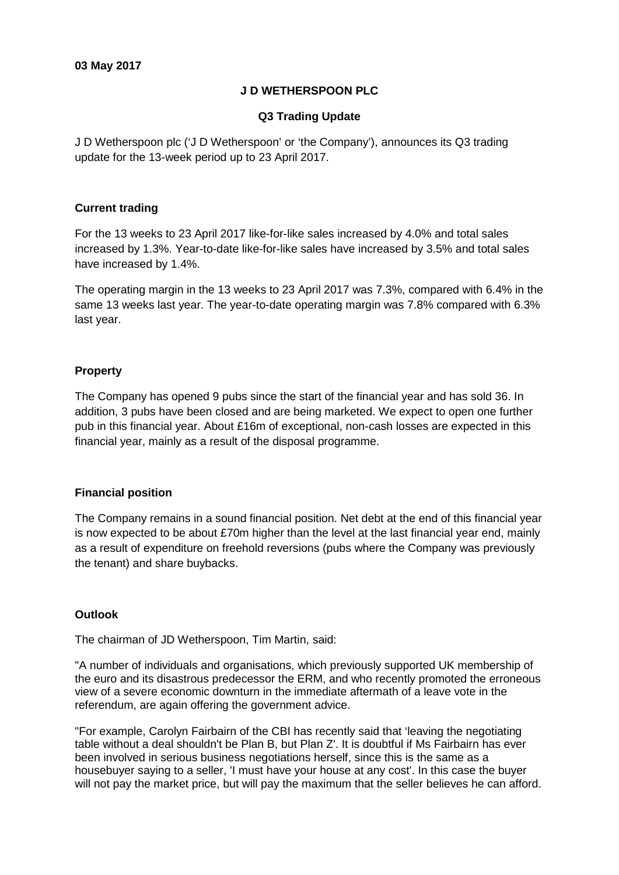# **J D WETHERSPOON PLC**

## **Q3 Trading Update**

J D Wetherspoon plc ('J D Wetherspoon' or 'the Company'), announces its Q3 trading update for the 13-week period up to 23 April 2017.

## **Current trading**

For the 13 weeks to 23 April 2017 like-for-like sales increased by 4.0% and total sales increased by 1.3%. Year-to-date like-for-like sales have increased by 3.5% and total sales have increased by 1.4%.

The operating margin in the 13 weeks to 23 April 2017 was 7.3%, compared with 6.4% in the same 13 weeks last year. The year-to-date operating margin was 7.8% compared with 6.3% last year.

# **Property**

The Company has opened 9 pubs since the start of the financial year and has sold 36. In addition, 3 pubs have been closed and are being marketed. We expect to open one further pub in this financial year. About £16m of exceptional, non-cash losses are expected in this financial year, mainly as a result of the disposal programme.

#### **Financial position**

The Company remains in a sound financial position. Net debt at the end of this financial year is now expected to be about £70m higher than the level at the last financial year end, mainly as a result of expenditure on freehold reversions (pubs where the Company was previously the tenant) and share buybacks.

#### **Outlook**

The chairman of JD Wetherspoon, Tim Martin, said:

"A number of individuals and organisations, which previously supported UK membership of the euro and its disastrous predecessor the ERM, and who recently promoted the erroneous view of a severe economic downturn in the immediate aftermath of a leave vote in the referendum, are again offering the government advice.

"For example, Carolyn Fairbairn of the CBI has recently said that 'leaving the negotiating table without a deal shouldn't be Plan B, but Plan Z'. It is doubtful if Ms Fairbairn has ever been involved in serious business negotiations herself, since this is the same as a housebuyer saying to a seller, 'I must have your house at any cost'. In this case the buyer will not pay the market price, but will pay the maximum that the seller believes he can afford.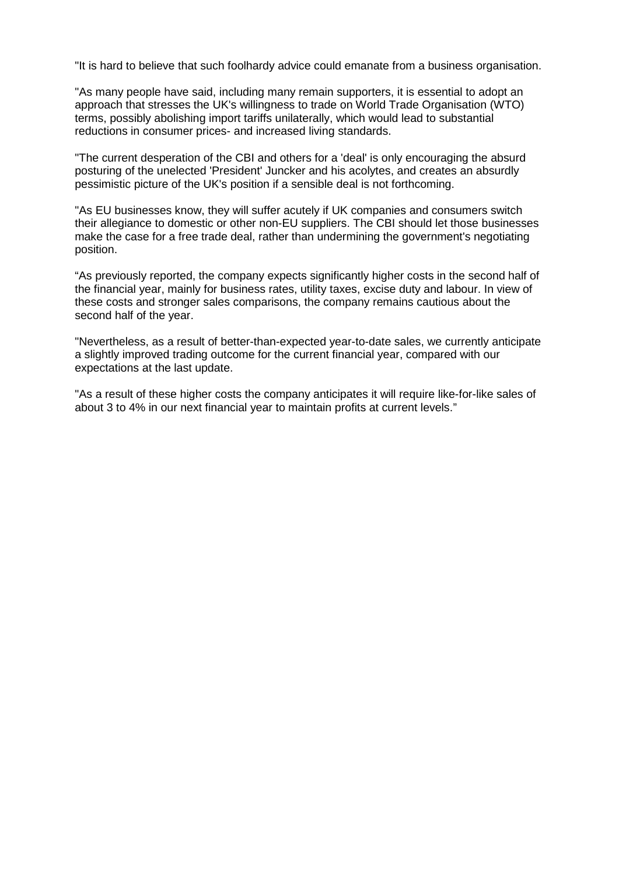"It is hard to believe that such foolhardy advice could emanate from a business organisation.

"As many people have said, including many remain supporters, it is essential to adopt an approach that stresses the UK's willingness to trade on World Trade Organisation (WTO) terms, possibly abolishing import tariffs unilaterally, which would lead to substantial reductions in consumer prices- and increased living standards.

"The current desperation of the CBI and others for a 'deal' is only encouraging the absurd posturing of the unelected 'President' Juncker and his acolytes, and creates an absurdly pessimistic picture of the UK's position if a sensible deal is not forthcoming.

"As EU businesses know, they will suffer acutely if UK companies and consumers switch their allegiance to domestic or other non-EU suppliers. The CBI should let those businesses make the case for a free trade deal, rather than undermining the government's negotiating position.

"As previously reported, the company expects significantly higher costs in the second half of the financial year, mainly for business rates, utility taxes, excise duty and labour. In view of these costs and stronger sales comparisons, the company remains cautious about the second half of the year.

"Nevertheless, as a result of better-than-expected year-to-date sales, we currently anticipate a slightly improved trading outcome for the current financial year, compared with our expectations at the last update.

"As a result of these higher costs the company anticipates it will require like-for-like sales of about 3 to 4% in our next financial year to maintain profits at current levels."